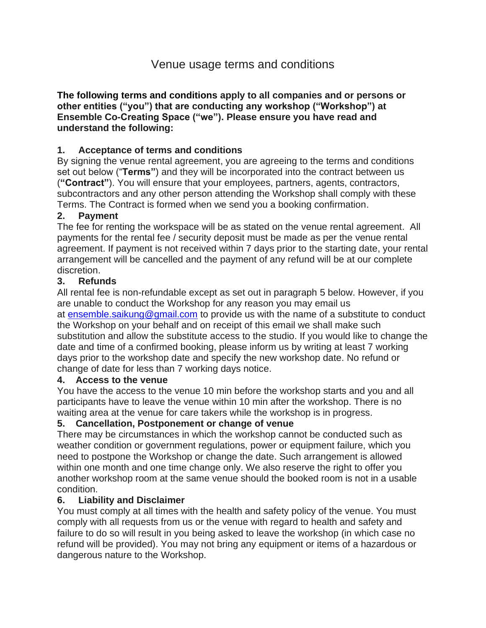# Venue usage terms and conditions

**The [following terms and conditions](https://suzannedibble.com/policies/terms-of-use/) apply to all companies and or persons or other entities ("you") that are conducting any workshop ("Workshop") at Ensemble Co-Creating Space ("we"). Please ensure you have read and understand the following:**

## **1. Acceptance of terms and conditions**

By signing the venue rental agreement, you are agreeing to the terms and conditions set out below ("**Terms"**) and they will be incorporated into the contract between us (**"Contract"**). You will ensure that your employees, partners, agents, contractors, subcontractors and any other person attending the Workshop shall comply with these Terms. The Contract is formed when we send you a booking confirmation.

#### **2. Payment**

The fee for renting the workspace will be as stated on the venue rental agreement. All payments for the rental fee / security deposit must be made as per the venue rental agreement. If payment is not received within 7 days prior to the starting date, your rental arrangement will be cancelled and the payment of any refund will be at our complete discretion.

#### **3. Refunds**

All rental fee is non-refundable except as set out in paragraph 5 below. However, if you are unable to conduct the Workshop for any reason you may email us at [ensemble.saikung@gmail.com](mailto:ensemble.saikung@gmail.com) to provide us with the name of a substitute to conduct the Workshop on your behalf and on receipt of this email we shall make such substitution and allow the substitute access to the studio. If you would like to change the date and time of a confirmed booking, please inform us by writing at least 7 working days prior to the workshop date and specify the new workshop date. No refund or change of date for less than 7 working days notice.

#### **4. Access to the venue**

You have the access to the venue 10 min before the workshop starts and you and all participants have to leave the venue within 10 min after the workshop. There is no waiting area at the venue for care takers while the workshop is in progress.

#### **5. Cancellation, Postponement or change of venue**

There may be circumstances in which the workshop cannot be conducted such as weather condition or government regulations, power or equipment failure, which you need to postpone the Workshop or change the date. Such arrangement is allowed within one month and one time change only. We also reserve the right to offer you another workshop room at the same venue should the booked room is not in a usable condition.

#### **6. Liability and Disclaimer**

You must comply at all times with the health and safety policy of the venue. You must comply with all requests from us or the venue with regard to health and safety and failure to do so will result in you being asked to leave the workshop (in which case no refund will be provided). You may not bring any equipment or items of a hazardous or dangerous nature to the Workshop.